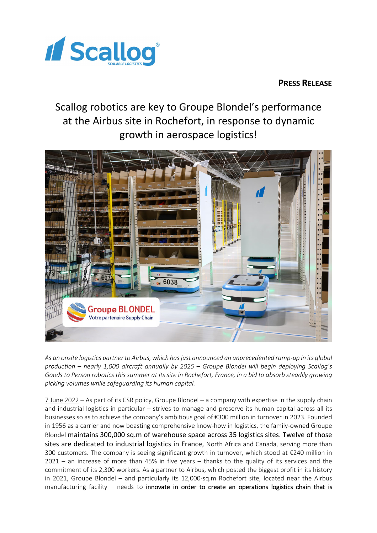

## **PRESS RELEASE**

# Scallog robotics are key to Groupe Blondel's performance at the Airbus site in Rochefort, in response to dynamic growth in aerospace logistics!



*As an onsite logistics partner to Airbus, which has just announced an unprecedented ramp-up in its global production – nearly 1,000 aircraft annually by 2025 – Groupe Blondel will begin deploying Scallog's Goods to Person robotics this summer at its site in Rochefort, France, in a bid to absorb steadily growing picking volumes while safeguarding its human capital.*

7 June 2022 – As part of its CSR policy, Groupe Blondel – a company with expertise in the supply chain and industrial logistics in particular – strives to manage and preserve its human capital across all its businesses so as to achieve the company's ambitious goal of €300 million in turnover in 2023. Founded in 1956 as a carrier and now boasting comprehensive know-how in logistics, the family-owned Groupe Blondel maintains 300,000 sq.m of warehouse space across 35 logistics sites. Twelve of those sites are dedicated to industrial logistics in France, North Africa and Canada, serving more than 300 customers. The company is seeing significant growth in turnover, which stood at €240 million in 2021 – an increase of more than 45% in five years – thanks to the quality of its services and the commitment of its 2,300 workers. As a partner to Airbus, which posted the biggest profit in its history in 2021, Groupe Blondel – and particularly its 12,000-sq.m Rochefort site, located near the Airbus manufacturing facility – needs to innovate in order to create an operations logistics chain that is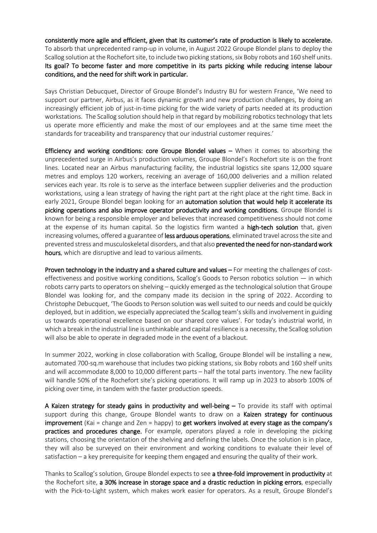consistently more agile and efficient, given that its customer's rate of production is likely to accelerate. To absorb that unprecedented ramp-up in volume, in August 2022 Groupe Blondel plans to deploy the Scallog solution at the Rochefort site, to include two picking stations, six Boby robots and 160 shelf units. Its goal? To become faster and more competitive in its parts picking while reducing intense labour conditions, and the need for shift work in particular.

Says Christian Debucquet, Director of Groupe Blondel's Industry BU for western France, 'We need to support our partner, Airbus, as it faces dynamic growth and new production challenges, by doing an increasingly efficient job of just-in-time picking for the wide variety of parts needed at its production workstations.The Scallog solution should help in that regard by mobilizing robotics technology that lets us operate more efficiently and make the most of our employees and at the same time meet the standards for traceability and transparency that our industrial customer requires.'

Efficiency and working conditions: core Groupe Blondel values – When it comes to absorbing the unprecedented surge in Airbus's production volumes, Groupe Blondel's Rochefort site is on the front lines. Located near an Airbus manufacturing facility, the industrial logistics site spans 12,000 square metres and employs 120 workers, receiving an average of 160,000 deliveries and a million related services each year. Its role is to serve as the interface between supplier deliveries and the production workstations, using a lean strategy of having the right part at the right place at the right time. Back in early 2021, Groupe Blondel began looking for an automation solution that would help it accelerate its picking operations and also improve operator productivity and working conditions. Groupe Blondel is known for being a responsible employer and believes that increased competitiveness should not come at the expense of its human capital. So the logistics firm wanted a high-tech solution that, given increasing volumes, offered a guarantee of less arduous operations, eliminated travel across the site and prevented stress and musculoskeletal disorders, and that also prevented the need for non-standard work hours, which are disruptive and lead to various ailments.

Proven technology in the industry and a shared culture and values – For meeting the challenges of costeffectiveness and positive working conditions, Scallog's Goods to Person robotics solution — in which robots carry parts to operators on shelving – quickly emerged as the technological solution that Groupe Blondel was looking for, and the company made its decision in the spring of 2022. According to Christophe Debucquet, 'The Goods to Person solution was well suited to our needs and could be quickly deployed, but in addition, we especially appreciated the Scallog team's skills and involvement in guiding us towards operational excellence based on our shared core values'. For today's industrial world, in which a break in the industrial line is unthinkable and capital resilience is a necessity, the Scallog solution will also be able to operate in degraded mode in the event of a blackout.

In summer 2022, working in close collaboration with Scallog, Groupe Blondel will be installing a new, automated 700-sq.m warehouse that includes two picking stations, six Boby robots and 160 shelf units and will accommodate 8,000 to 10,000 different parts – half the total parts inventory. The new facility will handle 50% of the Rochefort site's picking operations. It will ramp up in 2023 to absorb 100% of picking over time, in tandem with the faster production speeds.

A Kaizen strategy for steady gains in productivity and well-being  $-$  To provide its staff with optimal support during this change, Groupe Blondel wants to draw on a Kaizen strategy for continuous improvement (Kai = change and Zen = happy) to get workers involved at every stage as the company's practices and procedures change. For example, operators played a role in developing the picking stations, choosing the orientation of the shelving and defining the labels. Once the solution is in place, they will also be surveyed on their environment and working conditions to evaluate their level of satisfaction – a key prerequisite for keeping them engaged and ensuring the quality of their work.

Thanks to Scallog's solution, Groupe Blondel expects to see a three-fold improvement in productivity at the Rochefort site, a 30% increase in storage space and a drastic reduction in picking errors, especially with the Pick-to-Light system, which makes work easier for operators. As a result, Groupe Blondel's